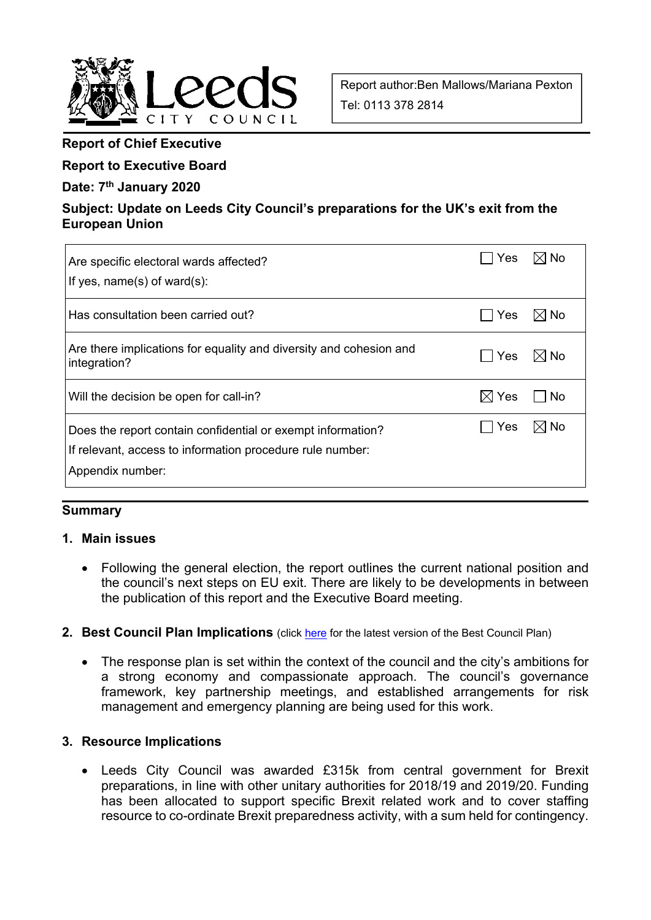

Report author:Ben Mallows/Mariana Pexton Tel: 0113 378 2814

## **Report of Chief Executive**

## **Report to Executive Board**

#### **Date: 7th January 2020**

## **Subject: Update on Leeds City Council's preparations for the UK's exit from the European Union**

| Are specific electoral wards affected?<br>If yes, $name(s)$ of ward $(s)$ :                                                                  | Yes             | ∶l No            |
|----------------------------------------------------------------------------------------------------------------------------------------------|-----------------|------------------|
| Has consultation been carried out?                                                                                                           | Yes             | $\boxtimes$ l No |
| Are there implications for equality and diversity and cohesion and<br>integration?                                                           | Yes             | $\boxtimes$ l No |
| Will the decision be open for call-in?                                                                                                       | $\boxtimes$ Yes | No               |
| Does the report contain confidential or exempt information?<br>If relevant, access to information procedure rule number:<br>Appendix number: | Yes             | l⊠ No            |

#### **Summary**

#### **1. Main issues**

- Following the general election, the report outlines the current national position and the council's next steps on EU exit. There are likely to be developments in between the publication of this report and the Executive Board meeting.
- 2. Best Council Plan Implications (click here for the latest version of the Best Council Plan)
	- The response plan is set within the context of the council and the city's ambitions for a strong economy and compassionate approach. The council's governance framework, key partnership meetings, and established arrangements for risk management and emergency planning are being used for this work.

#### **3. Resource Implications**

 Leeds City Council was awarded £315k from central government for Brexit preparations, in line with other unitary authorities for 2018/19 and 2019/20. Funding has been allocated to support specific Brexit related work and to cover staffing resource to co-ordinate Brexit preparedness activity, with a sum held for contingency.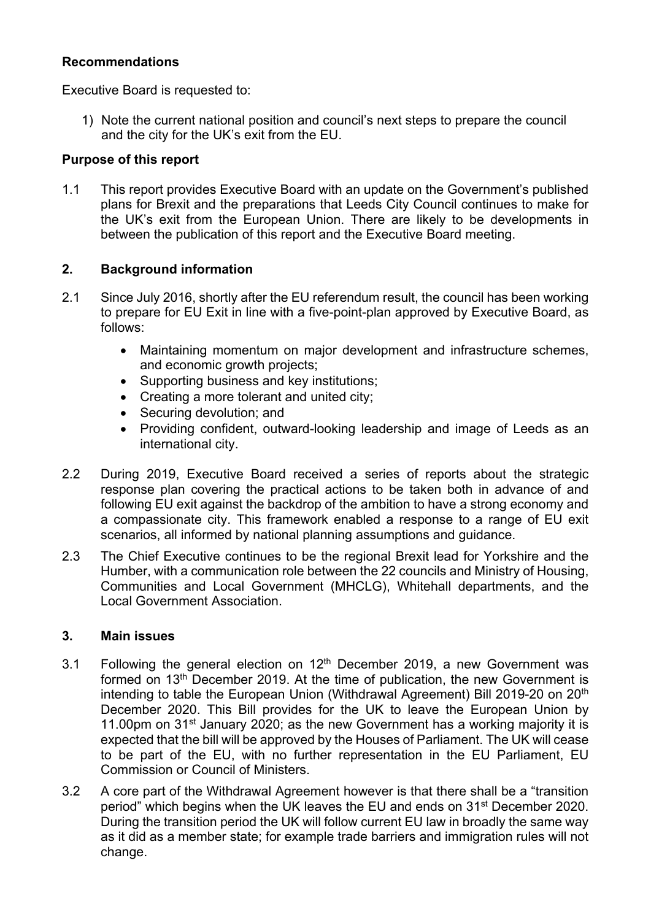## **Recommendations**

Executive Board is requested to:

1) Note the current national position and council's next steps to prepare the council and the city for the UK's exit from the EU.

#### **Purpose of this report**

1.1 This report provides Executive Board with an update on the Government's published plans for Brexit and the preparations that Leeds City Council continues to make for the UK's exit from the European Union. There are likely to be developments in between the publication of this report and the Executive Board meeting.

## **2. Background information**

- 2.1 Since July 2016, shortly after the EU referendum result, the council has been working to prepare for EU Exit in line with a five-point-plan approved by Executive Board, as follows:
	- Maintaining momentum on major development and infrastructure schemes, and economic growth projects;
	- Supporting business and key institutions;
	- Creating a more tolerant and united city;
	- Securing devolution: and
	- Providing confident, outward-looking leadership and image of Leeds as an international city.
- 2.2 During 2019, Executive Board received a series of reports about the strategic response plan covering the practical actions to be taken both in advance of and following EU exit against the backdrop of the ambition to have a strong economy and a compassionate city. This framework enabled a response to a range of EU exit scenarios, all informed by national planning assumptions and guidance.
- 2.3 The Chief Executive continues to be the regional Brexit lead for Yorkshire and the Humber, with a communication role between the 22 councils and Ministry of Housing, Communities and Local Government (MHCLG), Whitehall departments, and the Local Government Association.

#### **3. Main issues**

- 3.1 Following the general election on  $12<sup>th</sup>$  December 2019, a new Government was formed on 13<sup>th</sup> December 2019. At the time of publication, the new Government is intending to table the European Union (Withdrawal Agreement) Bill 2019-20 on 20<sup>th</sup> December 2020. This Bill provides for the UK to leave the European Union by 11.00pm on  $31<sup>st</sup>$  January 2020; as the new Government has a working majority it is expected that the bill will be approved by the Houses of Parliament. The UK will cease to be part of the EU, with no further representation in the EU Parliament, EU Commission or Council of Ministers.
- 3.2 A core part of the Withdrawal Agreement however is that there shall be a "transition period" which begins when the UK leaves the EU and ends on 31st December 2020. During the transition period the UK will follow current EU law in broadly the same way as it did as a member state; for example trade barriers and immigration rules will not change.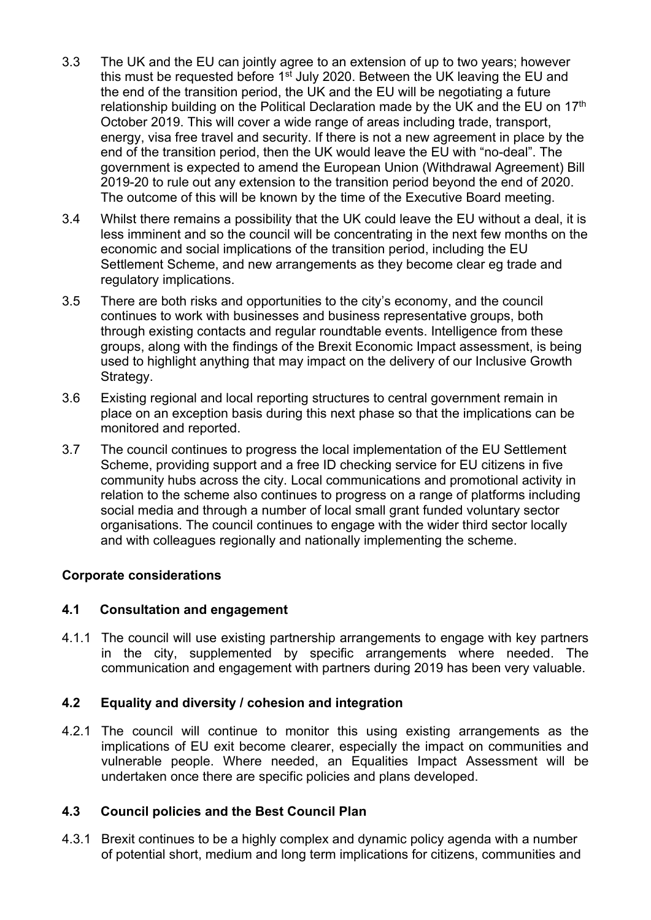- 3.3 The UK and the EU can jointly agree to an extension of up to two years; however this must be requested before 1<sup>st</sup> July 2020. Between the UK leaving the EU and the end of the transition period, the UK and the EU will be negotiating a future relationship building on the Political Declaration made by the UK and the EU on 17<sup>th</sup> October 2019. This will cover a wide range of areas including trade, transport, energy, visa free travel and security. If there is not a new agreement in place by the end of the transition period, then the UK would leave the EU with "no-deal". The government is expected to amend the European Union (Withdrawal Agreement) Bill 2019-20 to rule out any extension to the transition period beyond the end of 2020. The outcome of this will be known by the time of the Executive Board meeting.
- 3.4 Whilst there remains a possibility that the UK could leave the EU without a deal, it is less imminent and so the council will be concentrating in the next few months on the economic and social implications of the transition period, including the EU Settlement Scheme, and new arrangements as they become clear eg trade and regulatory implications.
- 3.5 There are both risks and opportunities to the city's economy, and the council continues to work with businesses and business representative groups, both through existing contacts and regular roundtable events. Intelligence from these groups, along with the findings of the Brexit Economic Impact assessment, is being used to highlight anything that may impact on the delivery of our Inclusive Growth Strategy.
- 3.6 Existing regional and local reporting structures to central government remain in place on an exception basis during this next phase so that the implications can be monitored and reported.
- 3.7 The council continues to progress the local implementation of the EU Settlement Scheme, providing support and a free ID checking service for EU citizens in five community hubs across the city. Local communications and promotional activity in relation to the scheme also continues to progress on a range of platforms including social media and through a number of local small grant funded voluntary sector organisations. The council continues to engage with the wider third sector locally and with colleagues regionally and nationally implementing the scheme.

## **Corporate considerations**

#### **4.1 Consultation and engagement**

4.1.1 The council will use existing partnership arrangements to engage with key partners in the city, supplemented by specific arrangements where needed. The communication and engagement with partners during 2019 has been very valuable.

#### **4.2 Equality and diversity / cohesion and integration**

4.2.1 The council will continue to monitor this using existing arrangements as the implications of EU exit become clearer, especially the impact on communities and vulnerable people. Where needed, an Equalities Impact Assessment will be undertaken once there are specific policies and plans developed.

#### **4.3 Council policies and the Best Council Plan**

4.3.1 Brexit continues to be a highly complex and dynamic policy agenda with a number of potential short, medium and long term implications for citizens, communities and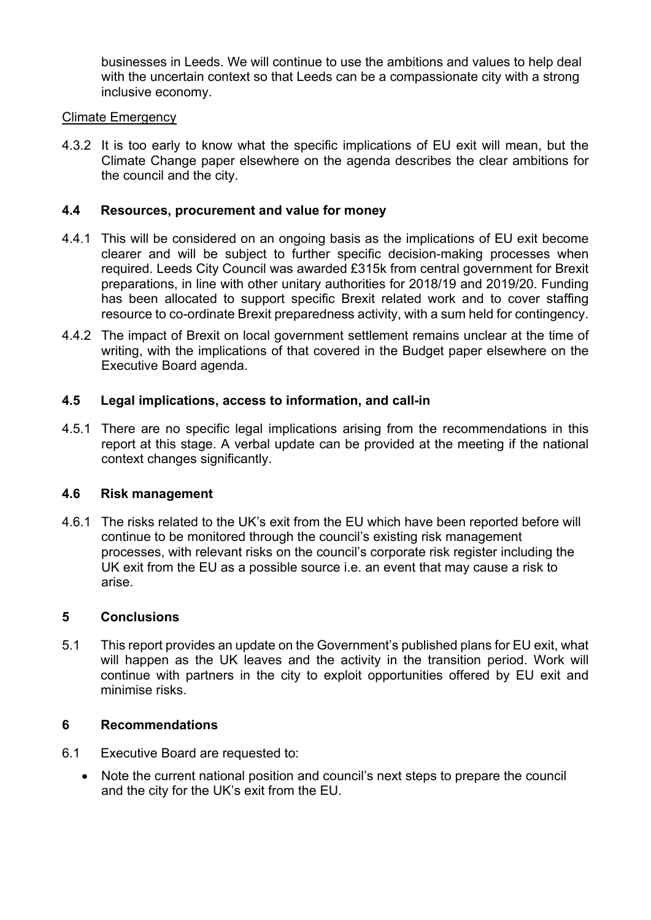businesses in Leeds. We will continue to use the ambitions and values to help deal with the uncertain context so that Leeds can be a compassionate city with a strong inclusive economy.

#### Climate Emergency

4.3.2 It is too early to know what the specific implications of EU exit will mean, but the Climate Change paper elsewhere on the agenda describes the clear ambitions for the council and the city.

#### **4.4 Resources, procurement and value for money**

- 4.4.1 This will be considered on an ongoing basis as the implications of EU exit become clearer and will be subject to further specific decision-making processes when required. Leeds City Council was awarded £315k from central government for Brexit preparations, in line with other unitary authorities for 2018/19 and 2019/20. Funding has been allocated to support specific Brexit related work and to cover staffing resource to co-ordinate Brexit preparedness activity, with a sum held for contingency.
- 4.4.2 The impact of Brexit on local government settlement remains unclear at the time of writing, with the implications of that covered in the Budget paper elsewhere on the Executive Board agenda.

#### **4.5 Legal implications, access to information, and call-in**

4.5.1 There are no specific legal implications arising from the recommendations in this report at this stage. A verbal update can be provided at the meeting if the national context changes significantly.

#### **4.6 Risk management**

4.6.1 The risks related to the UK's exit from the EU which have been reported before will continue to be monitored through the council's existing risk management processes, with relevant risks on the council's corporate risk register including the UK exit from the EU as a possible source i.e. an event that may cause a risk to arise.

#### **5 Conclusions**

5.1 This report provides an update on the Government's published plans for EU exit, what will happen as the UK leaves and the activity in the transition period. Work will continue with partners in the city to exploit opportunities offered by EU exit and minimise risks.

#### **6 Recommendations**

- 6.1 Executive Board are requested to:
	- Note the current national position and council's next steps to prepare the council and the city for the UK's exit from the EU.